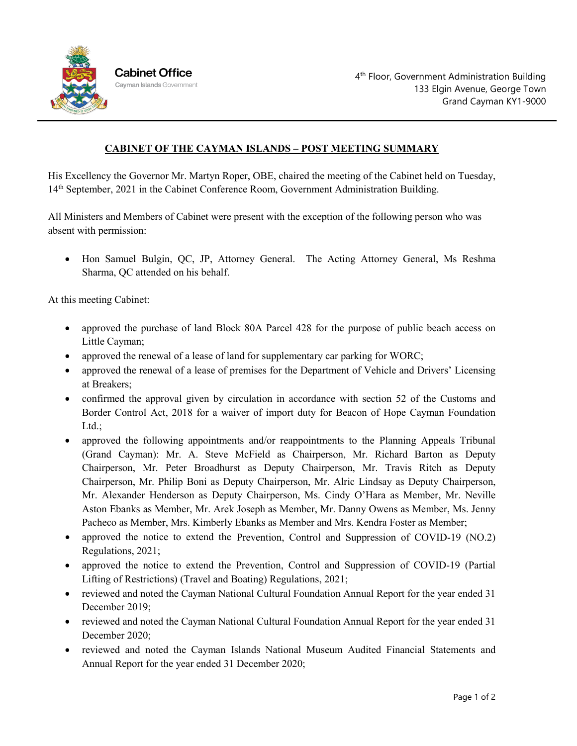

## **CABINET OF THE CAYMAN ISLANDS – POST MEETING SUMMARY**

His Excellency the Governor Mr. Martyn Roper, OBE, chaired the meeting of the Cabinet held on Tuesday, 14th September, 2021 in the Cabinet Conference Room, Government Administration Building.

All Ministers and Members of Cabinet were present with the exception of the following person who was absent with permission:

• Hon Samuel Bulgin, QC, JP, Attorney General. The Acting Attorney General, Ms Reshma Sharma, QC attended on his behalf.

At this meeting Cabinet:

- approved the purchase of land Block 80A Parcel 428 for the purpose of public beach access on Little Cayman;
- approved the renewal of a lease of land for supplementary car parking for WORC;
- approved the renewal of a lease of premises for the Department of Vehicle and Drivers' Licensing at Breakers;
- confirmed the approval given by circulation in accordance with section 52 of the Customs and Border Control Act, 2018 for a waiver of import duty for Beacon of Hope Cayman Foundation Ltd.:
- approved the following appointments and/or reappointments to the Planning Appeals Tribunal (Grand Cayman): Mr. A. Steve McField as Chairperson, Mr. Richard Barton as Deputy Chairperson, Mr. Peter Broadhurst as Deputy Chairperson, Mr. Travis Ritch as Deputy Chairperson, Mr. Philip Boni as Deputy Chairperson, Mr. Alric Lindsay as Deputy Chairperson, Mr. Alexander Henderson as Deputy Chairperson, Ms. Cindy O'Hara as Member, Mr. Neville Aston Ebanks as Member, Mr. Arek Joseph as Member, Mr. Danny Owens as Member, Ms. Jenny Pacheco as Member, Mrs. Kimberly Ebanks as Member and Mrs. Kendra Foster as Member;
- approved the notice to extend the Prevention, Control and Suppression of COVID-19 (NO.2) Regulations, 2021;
- approved the notice to extend the Prevention, Control and Suppression of COVID-19 (Partial Lifting of Restrictions) (Travel and Boating) Regulations, 2021;
- reviewed and noted the Cayman National Cultural Foundation Annual Report for the year ended 31 December 2019;
- reviewed and noted the Cayman National Cultural Foundation Annual Report for the year ended 31 December 2020;
- reviewed and noted the Cayman Islands National Museum Audited Financial Statements and Annual Report for the year ended 31 December 2020;